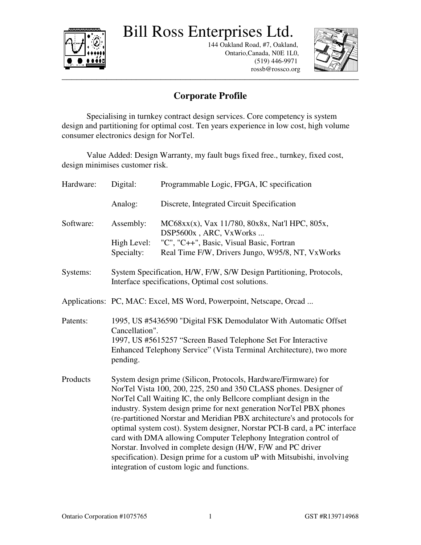Bill Ross Enterprises Ltd.



 144 Oakland Road, #7, Oakland, Ontario,Canada, N0E 1L0, (519) 446-9971 rossb@rossco.org



## \_\_\_\_\_\_\_\_\_\_\_\_\_\_\_\_\_\_\_\_\_\_\_\_\_\_\_\_\_\_\_\_\_\_\_\_\_\_\_\_\_\_\_\_\_\_\_\_\_\_\_\_\_\_\_\_\_\_\_\_ **Corporate Profile**

 Specialising in turnkey contract design services. Core competency is system design and partitioning for optimal cost. Ten years experience in low cost, high volume consumer electronics design for NorTel.

 Value Added: Design Warranty, my fault bugs fixed free., turnkey, fixed cost, design minimises customer risk.

| Hardware: | Digital:                                                                                                                                                                                                                                                                                                                                                                                                                                                                                                                                                                                                                                                  | Programmable Logic, FPGA, IC specification                               |
|-----------|-----------------------------------------------------------------------------------------------------------------------------------------------------------------------------------------------------------------------------------------------------------------------------------------------------------------------------------------------------------------------------------------------------------------------------------------------------------------------------------------------------------------------------------------------------------------------------------------------------------------------------------------------------------|--------------------------------------------------------------------------|
|           | Analog:                                                                                                                                                                                                                                                                                                                                                                                                                                                                                                                                                                                                                                                   | Discrete, Integrated Circuit Specification                               |
| Software: | Assembly:                                                                                                                                                                                                                                                                                                                                                                                                                                                                                                                                                                                                                                                 | MC68xx(x), Vax 11/780, 80x8x, Nat'l HPC, 805x,<br>DSP5600x, ARC, VxWorks |
|           | High Level:                                                                                                                                                                                                                                                                                                                                                                                                                                                                                                                                                                                                                                               | "C", "C++", Basic, Visual Basic, Fortran                                 |
|           | Specialty:                                                                                                                                                                                                                                                                                                                                                                                                                                                                                                                                                                                                                                                | Real Time F/W, Drivers Jungo, W95/8, NT, VxWorks                         |
| Systems:  | System Specification, H/W, F/W, S/W Design Partitioning, Protocols,<br>Interface specifications, Optimal cost solutions.                                                                                                                                                                                                                                                                                                                                                                                                                                                                                                                                  |                                                                          |
|           | Applications: PC, MAC: Excel, MS Word, Powerpoint, Netscape, Orcad                                                                                                                                                                                                                                                                                                                                                                                                                                                                                                                                                                                        |                                                                          |
| Patents:  | 1995, US #5436590 "Digital FSK Demodulator With Automatic Offset<br>Cancellation".                                                                                                                                                                                                                                                                                                                                                                                                                                                                                                                                                                        |                                                                          |
|           | 1997, US #5615257 "Screen Based Telephone Set For Interactive                                                                                                                                                                                                                                                                                                                                                                                                                                                                                                                                                                                             |                                                                          |
|           | Enhanced Telephony Service" (Vista Terminal Architecture), two more<br>pending.                                                                                                                                                                                                                                                                                                                                                                                                                                                                                                                                                                           |                                                                          |
| Products  | System design prime (Silicon, Protocols, Hardware/Firmware) for<br>NorTel Vista 100, 200, 225, 250 and 350 CLASS phones. Designer of<br>NorTel Call Waiting IC, the only Bellcore compliant design in the<br>industry. System design prime for next generation NorTel PBX phones<br>(re-partitioned Norstar and Meridian PBX architecture's and protocols for<br>optimal system cost). System designer, Norstar PCI-B card, a PC interface<br>card with DMA allowing Computer Telephony Integration control of<br>Norstar. Involved in complete design (H/W, F/W and PC driver<br>specification). Design prime for a custom uP with Mitsubishi, involving |                                                                          |
|           | integration of custom logic and functions.                                                                                                                                                                                                                                                                                                                                                                                                                                                                                                                                                                                                                |                                                                          |